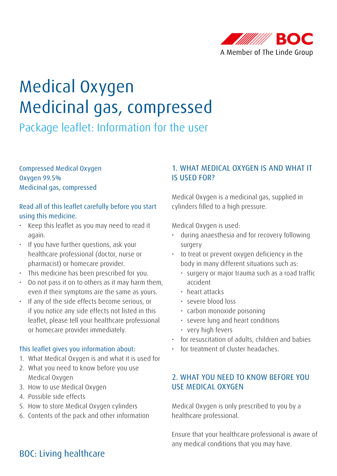

# Medical Oxygen Medicinal gas, compressed

Package leaflet: Information for the user

Compressed Medical Oxygen Oxygen 99.5% Medicinal gas, compressed

## Read all of this leaflet carefully before you start using this medicine.

- Keep this leaflet as you may need to read it again.
- If you have further questions, ask your healthcare professional (doctor, nurse or pharmacist) or homecare provider.
- This medicine has been prescribed for you.
- Do not pass it on to others as it may harm them, even if their symptoms are the same as yours.
- If any of the side effects become serious, or if you notice any side effects not listed in this leaflet, please tell your healthcare professional or homecare provider immediately.

#### This leaflet gives you information about:

- 1. What Medical Oxygen is and what it is used for
- 2. What you need to know before you use Medical Oxygen
- 3. How to use Medical Oxygen
- 4. Possible side effects
- 5. How to store Medical Oxygen cylinders
- 6. Contents of the pack and other information

## 1. WHAT MEDICAL OXYGEN IS AND WHAT IT IS USED FOR?

Medical Oxygen is a medicinal gas, supplied in cylinders filled to a high pressure.

Medical Oxygen is used:

- during anaesthesia and for recovery following surgery
- to treat or prevent oxygen deficiency in the body in many different situations such as:
	- surgery or major trauma such as a road traffic accident
	- heart attacks
	- severe blood loss
	- carbon monoxide poisoning
	- severe lung and heart conditions
	- very high fevers
- for resuscitation of adults, children and babies
- for treatment of cluster headaches.

## 2. WHAT YOU NEED TO KNOW BEFORE YOU USE MEDICAL OXYGEN

Medical Oxygen is only prescribed to you by a healthcare professional.

Ensure that your healthcare professional is aware of any medical conditions that you may have.

## BOC: Living healthcare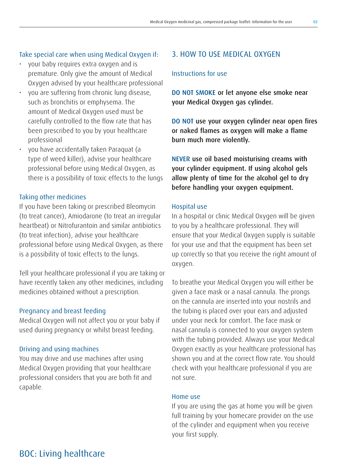#### Take special care when using Medical Oxygen if:

- your baby requires extra oxygen and is premature. Only give the amount of Medical Oxygen advised by your healthcare professional
- you are suffering from chronic lung disease, such as bronchitis or emphysema. The amount of Medical Oxygen used must be carefully controlled to the flow rate that has been prescribed to you by your healthcare professional
- you have accidentally taken Paraquat (a type of weed killer), advise your healthcare professional before using Medical Oxygen, as there is a possibility of toxic effects to the lungs

#### Taking other medicines

If you have been taking or prescribed Bleomycin (to treat cancer), Amiodarone (to treat an irregular heartbeat) or Nitrofurantoin and similar antibiotics (to treat infection), advise your healthcare professional before using Medical Oxygen, as there is a possibility of toxic effects to the lungs.

Tell your healthcare professional if you are taking or have recently taken any other medicines, including medicines obtained without a prescription.

#### Pregnancy and breast feeding

Medical Oxygen will not affect you or your baby if used during pregnancy or whilst breast feeding.

#### Driving and using machines

You may drive and use machines after using Medical Oxygen providing that your healthcare professional considers that you are both fit and capable.

## 3. HOW TO USE MEDICAL OXYGEN

#### Instructions for use

DO NOT SMOKE or let anyone else smoke near your Medical Oxygen gas cylinder.

DO NOT use your oxygen cylinder near open fires or naked flames as oxygen will make a flame burn much more violently.

NEVER use oil based moisturising creams with your cylinder equipment. If using alcohol gels allow plenty of time for the alcohol gel to dry before handling your oxygen equipment.

#### Hospital use

In a hospital or clinic Medical Oxygen will be given to you by a healthcare professional. They will ensure that your Medical Oxygen supply is suitable for your use and that the equipment has been set up correctly so that you receive the right amount of oxygen.

To breathe your Medical Oxygen you will either be given a face mask or a nasal cannula. The prongs on the cannula are inserted into your nostrils and the tubing is placed over your ears and adjusted under your neck for comfort. The face mask or nasal cannula is connected to your oxygen system with the tubing provided. Always use your Medical Oxygen exactly as your healthcare professional has shown you and at the correct flow rate. You should check with your healthcare professional if you are not sure.

#### Home use

If you are using the gas at home you will be given full training by your homecare provider on the use of the cylinder and equipment when you receive your first supply.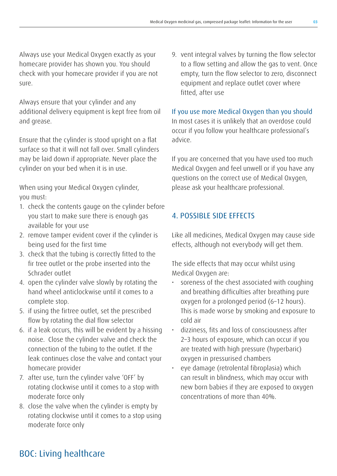Always use your Medical Oxygen exactly as your homecare provider has shown you. You should check with your homecare provider if you are not sure.

Always ensure that your cylinder and any additional delivery equipment is kept free from oil and grease.

Ensure that the cylinder is stood upright on a flat surface so that it will not fall over. Small cylinders may be laid down if appropriate. Never place the cylinder on your bed when it is in use.

When using your Medical Oxygen cylinder, you must:

- 1. check the contents gauge on the cylinder before you start to make sure there is enough gas available for your use
- 2. remove tamper evident cover if the cylinder is being used for the first time
- 3. check that the tubing is correctly fitted to the fir tree outlet or the probe inserted into the Schrader outlet
- 4. open the cylinder valve slowly by rotating the hand wheel anticlockwise until it comes to a complete stop.
- 5. if using the firtree outlet, set the prescribed flow by rotating the dial flow selector
- 6. if a leak occurs, this will be evident by a hissing noise. Close the cylinder valve and check the connection of the tubing to the outlet. If the leak continues close the valve and contact your homecare provider
- 7. after use, turn the cylinder valve 'OFF' by rotating clockwise until it comes to a stop with moderate force only
- 8. close the valve when the cylinder is empty by rotating clockwise until it comes to a stop using moderate force only

9. vent integral valves by turning the flow selector to a flow setting and allow the gas to vent. Once empty, turn the flow selector to zero, disconnect equipment and replace outlet cover where fitted, after use

If you use more Medical Oxygen than you should In most cases it is unlikely that an overdose could occur if you follow your healthcare professional's advice.

If you are concerned that you have used too much Medical Oxygen and feel unwell or if you have any questions on the correct use of Medical Oxygen, please ask your healthcare professional.

## 4. POSSIBLE SIDE EFFECTS

Like all medicines, Medical Oxygen may cause side effects, although not everybody will get them.

The side effects that may occur whilst using Medical Oxygen are:

- soreness of the chest associated with coughing and breathing difficulties after breathing pure oxygen for a prolonged period (6–12 hours). This is made worse by smoking and exposure to cold air
- dizziness, fits and loss of consciousness after 2–3 hours of exposure, which can occur if you are treated with high pressure (hyperbaric) oxygen in pressurised chambers
- eye damage (retrolental fibroplasia) which can result in blindness, which may occur with new born babies if they are exposed to oxygen concentrations of more than 40%.

## BOC: Living healthcare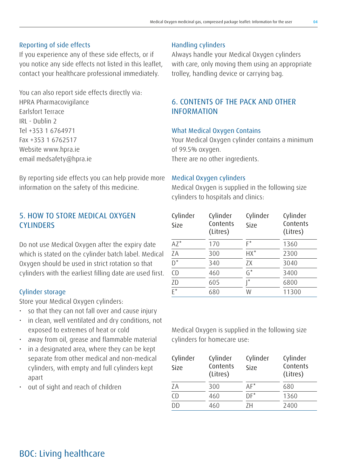#### Reporting of side effects

If you experience any of these side effects, or if you notice any side effects not listed in this leaflet, contact your healthcare professional immediately.

You can also report side effects directly via: HPRA Pharmacovigilance Earlsfort Terrace IRL - Dublin 2 Tel +353 1 6764971 Fax +353 1 6762517 Website www.hpra.ie email medsafety@hpra.ie

By reporting side effects you can help provide more information on the safety of this medicine.

## 5. HOW TO STORE MEDICAL OXYGEN **CYLINDERS**

Do not use Medical Oxygen after the expiry date which is stated on the cylinder batch label. Medical Oxygen should be used in strict rotation so that cylinders with the earliest filling date are used first.

#### Cylinder storage

Store your Medical Oxygen cylinders:

- so that they can not fall over and cause injury
- in clean, well ventilated and dry conditions, not exposed to extremes of heat or cold
- away from oil, grease and flammable material
- in a designated area, where they can be kept separate from other medical and non-medical cylinders, with empty and full cylinders kept apart
- out of sight and reach of children

#### Handling cylinders

Always handle your Medical Oxygen cylinders with care, only moving them using an appropriate trolley, handling device or carrying bag.

## 6. CONTENTS OF THE PACK AND OTHER INFORMATION

#### What Medical Oxygen Contains

Your Medical Oxygen cylinder contains a minimum of 99.5% oxygen. There are no other ingredients.

#### Medical Oxygen cylinders

Medical Oxygen is supplied in the following size cylinders to hospitals and clinics:

| Cylinder<br>Size | Cylinder<br>Contents<br>(Litres) | Cylinder<br>Size | Cylinder<br>Contents<br>(Litres) |
|------------------|----------------------------------|------------------|----------------------------------|
| $AZ^*$           | 170                              | F*               | 1360                             |
| ZA               | 300                              | $HX^*$           | 2300                             |
| $\overline{D^*}$ | 340                              | ZX               | 3040                             |
| C <sub>D</sub>   | 460                              | $G^*$            | 3400                             |
| ZD               | 605                              | $\star$          | 6800                             |
| $\overline{F^*}$ | 680                              | W                | 11300                            |

Medical Oxygen is supplied in the following size cylinders for homecare use:

| Cylinder<br>Size | Cylinder<br>Contents<br>(Litres) | Cylinder<br>Size | Cylinder<br>Contents<br>(Litres) |
|------------------|----------------------------------|------------------|----------------------------------|
| ΖA               | 300                              | $AF^*$           | 680                              |
| CD               | 460                              | $DF^*$           | 1360                             |
| DD               | 460                              | 7H               | 2400                             |